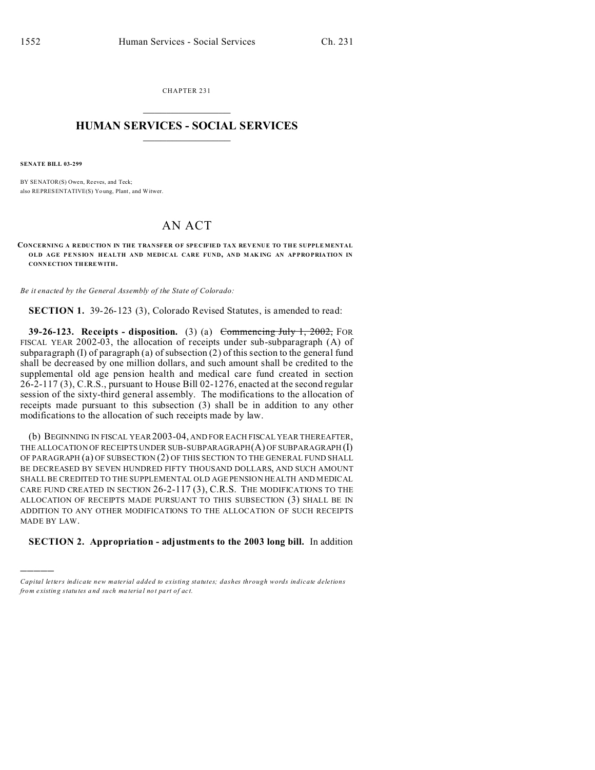CHAPTER 231  $\overline{\phantom{a}}$  , where  $\overline{\phantom{a}}$ 

## **HUMAN SERVICES - SOCIAL SERVICES**  $\frac{1}{2}$  ,  $\frac{1}{2}$  ,  $\frac{1}{2}$  ,  $\frac{1}{2}$  ,  $\frac{1}{2}$  ,  $\frac{1}{2}$

**SENATE BILL 03-299**

)))))

BY SENATOR(S) Owen, Reeves, and Teck; also REPRESENTATIVE(S) Yo ung, Plant, and Witwer.

## AN ACT

**CONCERNING A REDUCTION IN THE TRANSFER OF SPECIFIED TAX REVENUE TO THE SUPPLE MENTAL OLD AGE PENSION HEALTH AND MEDICAL CARE FUND, AND MAK ING AN AP PRO PRIATION IN CONN ECTION THEREWITH.**

*Be it enacted by the General Assembly of the State of Colorado:*

**SECTION 1.** 39-26-123 (3), Colorado Revised Statutes, is amended to read:

**39-26-123. Receipts - disposition.** (3) (a) Commencing July 1, 2002, FOR FISCAL YEAR 2002-03, the allocation of receipts under sub-subparagraph (A) of subparagraph (I) of paragraph (a) of subsection  $(2)$  of this section to the general fund shall be decreased by one million dollars, and such amount shall be credited to the supplemental old age pension health and medical care fund created in section 26-2-117 (3), C.R.S., pursuant to House Bill 02-1276, enacted at the second regular session of the sixty-third general assembly. The modifications to the allocation of receipts made pursuant to this subsection (3) shall be in addition to any other modifications to the allocation of such receipts made by law.

(b) BEGINNING IN FISCAL YEAR 2003-04, AND FOR EACH FISCAL YEAR THEREAFTER, THE ALLOCATION OF RECEIPTS UNDER SUB-SUBPARAGRAPH(A) OF SUBPARAGRAPH (I) OF PARAGRAPH (a) OF SUBSECTION (2) OF THIS SECTION TO THE GENERAL FUND SHALL BE DECREASED BY SEVEN HUNDRED FIFTY THOUSAND DOLLARS, AND SUCH AMOUNT SHALL BE CREDITED TO THE SUPPLEMENTAL OLD AGE PENSION HEALTH AND MEDICAL CARE FUND CREATED IN SECTION 26-2-117 (3), C.R.S. THE MODIFICATIONS TO THE ALLOCATION OF RECEIPTS MADE PURSUANT TO THIS SUBSECTION (3) SHALL BE IN ADDITION TO ANY OTHER MODIFICATIONS TO THE ALLOCATION OF SUCH RECEIPTS MADE BY LAW.

**SECTION 2. Appropriation - adjustments to the 2003 long bill.** In addition

*Capital letters indicate new material added to existing statutes; dashes through words indicate deletions from e xistin g statu tes a nd such ma teria l no t pa rt of ac t.*